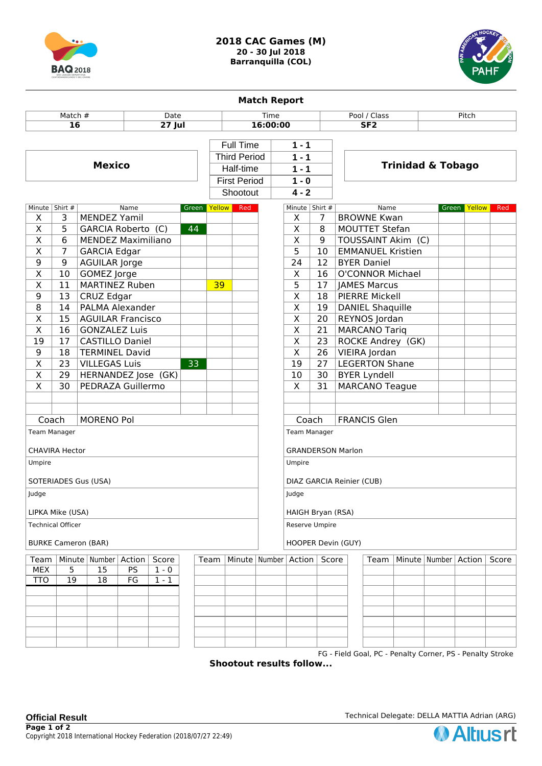



| <b>Match Report</b>        |                                                                                |                           |    |                    |              |                     |                          |                                |                                                        |                          |                                                           |  |        |              |     |
|----------------------------|--------------------------------------------------------------------------------|---------------------------|----|--------------------|--------------|---------------------|--------------------------|--------------------------------|--------------------------------------------------------|--------------------------|-----------------------------------------------------------|--|--------|--------------|-----|
| Match #<br>Date            |                                                                                |                           |    |                    | <b>Time</b>  |                     |                          |                                |                                                        | Pool / Class             |                                                           |  |        |              |     |
| 16<br>$27$ Jul             |                                                                                |                           |    |                    | 16:00:00     |                     |                          |                                |                                                        | S F2                     |                                                           |  |        |              |     |
|                            |                                                                                |                           |    |                    |              |                     |                          |                                |                                                        |                          |                                                           |  |        |              |     |
|                            |                                                                                |                           |    |                    |              | <b>Full Time</b>    |                          |                                | $1 - 1$                                                |                          |                                                           |  |        |              |     |
|                            | <b>Mexico</b>                                                                  |                           |    |                    |              | <b>Third Period</b> |                          |                                | $1 - 1$                                                |                          | <b>Trinidad &amp; Tobago</b>                              |  |        |              |     |
|                            |                                                                                |                           |    |                    |              | Half-time           |                          | $1 - 1$                        |                                                        |                          |                                                           |  |        |              |     |
|                            |                                                                                |                           |    |                    |              |                     | <b>First Period</b>      |                                | $1 - 0$<br>$4 - 2$                                     |                          |                                                           |  |        |              |     |
|                            |                                                                                |                           |    |                    |              |                     | Shootout                 |                                |                                                        |                          |                                                           |  |        |              |     |
| Minute   Shirt #<br>Name   |                                                                                |                           |    |                    | Green Yellow |                     | Red                      |                                | Minute Shirt #                                         |                          | Name                                                      |  |        | Green Yellow | Red |
| X                          | 3                                                                              | <b>MENDEZ Yamil</b>       |    |                    |              |                     |                          |                                | X                                                      | $\overline{7}$           | <b>BROWNE Kwan</b>                                        |  |        |              |     |
| $\overline{X}$             | 5                                                                              | GARCIA Roberto (C)<br>44  |    |                    |              |                     |                          |                                | $\overline{\mathsf{x}}$                                | 8                        | <b>MOUTTET Stefan</b>                                     |  |        |              |     |
| $\overline{\mathsf{X}}$    | 6                                                                              | <b>MENDEZ Maximiliano</b> |    |                    |              |                     |                          |                                | $\overline{\mathsf{x}}$                                | 9                        | TOUSSAINT Akim (C)                                        |  |        |              |     |
| $\overline{\mathsf{x}}$    | $\overline{7}$                                                                 | <b>GARCIA Edgar</b>       |    |                    |              |                     |                          | $\overline{5}$<br>10           |                                                        | <b>EMMANUEL Kristien</b> |                                                           |  |        |              |     |
| 9                          | $\overline{9}$                                                                 | <b>AGUILAR Jorge</b>      |    |                    |              |                     |                          |                                | $\overline{12}$<br>24                                  |                          | <b>BYER Daniel</b>                                        |  |        |              |     |
| $\overline{\mathsf{X}}$    | 10                                                                             | <b>GOMEZ</b> Jorge        |    |                    |              |                     |                          |                                | $\overline{\mathsf{x}}$<br>16                          |                          | <b>O'CONNOR Michael</b>                                   |  |        |              |     |
| $\overline{\mathsf{X}}$    | 11                                                                             | <b>MARTINEZ Ruben</b>     |    |                    |              | 39                  |                          | 5<br><b>JAMES Marcus</b><br>17 |                                                        |                          |                                                           |  |        |              |     |
| 9                          | 13                                                                             | <b>CRUZ Edgar</b>         |    |                    |              |                     |                          |                                | $\overline{\mathsf{x}}$<br><b>PIERRE Mickell</b><br>18 |                          |                                                           |  |        |              |     |
| $\overline{8}$             | 14                                                                             | <b>PALMA Alexander</b>    |    |                    |              |                     |                          |                                | $\overline{\mathsf{x}}$                                | 19                       | <b>DANIEL Shaquille</b>                                   |  |        |              |     |
| $\overline{\mathsf{x}}$    | $\overline{15}$                                                                | <b>AGUILAR Francisco</b>  |    |                    |              |                     |                          |                                | $\overline{\mathsf{x}}$                                | 20                       | <b>REYNOS Jordan</b>                                      |  |        |              |     |
| $\overline{\mathsf{x}}$    | 16                                                                             | <b>GONZALEZ Luis</b>      |    |                    |              |                     |                          |                                | $\overline{\mathsf{x}}$                                | 21                       | <b>MARCANO Tariq</b>                                      |  |        |              |     |
| $\overline{19}$            | 17                                                                             | <b>CASTILLO Daniel</b>    |    |                    |              |                     |                          | $\overline{\mathsf{x}}$        | 23                                                     | ROCKE Andrey (GK)        |                                                           |  |        |              |     |
| $\overline{9}$             | 18                                                                             | <b>TERMINEL David</b>     |    |                    |              |                     |                          |                                | $\overline{\mathsf{x}}$                                | 26                       | VIEIRA Jordan                                             |  |        |              |     |
| $\overline{\mathsf{x}}$    | 23                                                                             | <b>VILLEGAS Luis</b>      |    |                    | 33           |                     |                          |                                | $\overline{19}$                                        | 27                       | <b>LEGERTON Shane</b>                                     |  |        |              |     |
| $\overline{\mathsf{x}}$    | 29                                                                             | HERNANDEZ Jose (GK)       |    |                    |              |                     |                          |                                | 10                                                     | 30                       | <b>BYER Lyndell</b>                                       |  |        |              |     |
| $\overline{\mathsf{x}}$    | 30                                                                             | PEDRAZA Guillermo         |    |                    |              |                     |                          |                                | $\overline{X}$                                         | 31                       | <b>MARCANO Teague</b>                                     |  |        |              |     |
|                            |                                                                                |                           |    |                    |              |                     |                          |                                |                                                        |                          |                                                           |  |        |              |     |
|                            |                                                                                |                           |    |                    |              |                     |                          |                                |                                                        |                          |                                                           |  |        |              |     |
| Coach                      |                                                                                | <b>MORENO Pol</b>         |    |                    |              |                     |                          |                                | Coach<br><b>FRANCIS Glen</b>                           |                          |                                                           |  |        |              |     |
|                            | Team Manager                                                                   |                           |    |                    |              |                     |                          |                                | <b>Team Manager</b>                                    |                          |                                                           |  |        |              |     |
|                            |                                                                                |                           |    |                    |              |                     | <b>GRANDERSON Marlon</b> |                                |                                                        |                          |                                                           |  |        |              |     |
| <b>CHAVIRA Hector</b>      |                                                                                |                           |    |                    |              |                     |                          |                                |                                                        |                          |                                                           |  |        |              |     |
| Umpire                     |                                                                                |                           |    |                    |              |                     | Umpire                   |                                |                                                        |                          |                                                           |  |        |              |     |
|                            | SOTERIADES Gus (USA)                                                           |                           |    |                    |              |                     |                          | DIAZ GARCIA Reinier (CUB)      |                                                        |                          |                                                           |  |        |              |     |
| Judge                      |                                                                                |                           |    |                    |              |                     | Judge                    |                                |                                                        |                          |                                                           |  |        |              |     |
|                            | LIPKA Mike (USA)                                                               |                           |    |                    |              |                     |                          | HAIGH Bryan (RSA)              |                                                        |                          |                                                           |  |        |              |     |
|                            | <b>Technical Officer</b>                                                       |                           |    |                    |              |                     |                          | Reserve Umpire                 |                                                        |                          |                                                           |  |        |              |     |
| <b>BURKE Cameron (BAR)</b> |                                                                                |                           |    |                    |              |                     |                          | HOOPER Devin (GUY)             |                                                        |                          |                                                           |  |        |              |     |
|                            | Minute   Number<br>Score<br>Team<br>Minute   Number   Action<br>Team<br>Action |                           |    |                    |              |                     |                          |                                | Score                                                  | Team                     | Minute   Number                                           |  | Action | Score        |     |
| <b>MEX</b>                 | 5                                                                              | 15                        | PS | $\overline{1}$ - 0 |              |                     |                          |                                |                                                        |                          |                                                           |  |        |              |     |
| <b>TTO</b>                 | $\overline{19}$                                                                | $\overline{18}$           | FG | $1 - 1$            |              |                     |                          |                                |                                                        |                          |                                                           |  |        |              |     |
|                            |                                                                                |                           |    |                    |              |                     |                          |                                |                                                        |                          |                                                           |  |        |              |     |
|                            |                                                                                |                           |    |                    |              |                     |                          |                                |                                                        |                          |                                                           |  |        |              |     |
|                            |                                                                                |                           |    |                    |              |                     |                          |                                |                                                        |                          |                                                           |  |        |              |     |
|                            |                                                                                |                           |    |                    |              |                     |                          |                                |                                                        |                          |                                                           |  |        |              |     |
|                            |                                                                                |                           |    |                    |              |                     |                          |                                |                                                        |                          |                                                           |  |        |              |     |
|                            |                                                                                |                           |    |                    |              |                     |                          |                                |                                                        |                          |                                                           |  |        |              |     |
|                            |                                                                                |                           |    |                    |              |                     |                          |                                |                                                        |                          | FG - Field Goal, PC - Penalty Corner, PS - Penalty Stroke |  |        |              |     |

**Shootout results follow...**